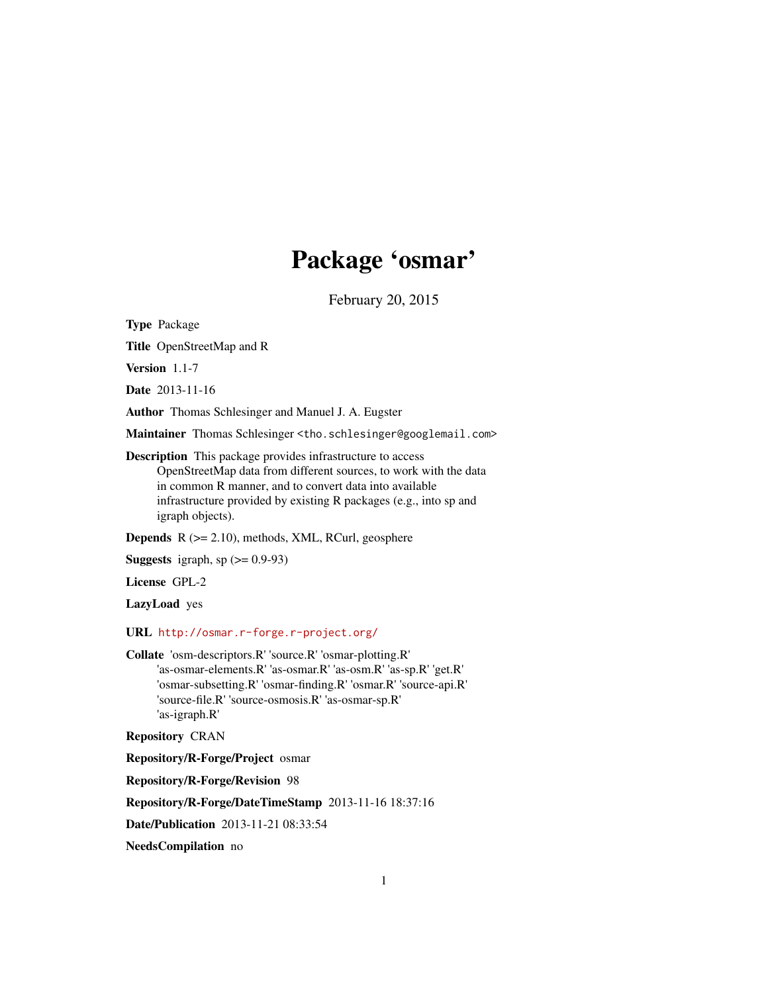# Package 'osmar'

February 20, 2015

<span id="page-0-0"></span>Type Package

Title OpenStreetMap and R

Version 1.1-7

Date 2013-11-16

Author Thomas Schlesinger and Manuel J. A. Eugster

Maintainer Thomas Schlesinger <tho.schlesinger@googlemail.com>

Description This package provides infrastructure to access OpenStreetMap data from different sources, to work with the data in common R manner, and to convert data into available infrastructure provided by existing R packages (e.g., into sp and igraph objects).

Depends R (>= 2.10), methods, XML, RCurl, geosphere

**Suggests** igraph, sp  $(>= 0.9-93)$ 

License GPL-2

LazyLoad yes

URL <http://osmar.r-forge.r-project.org/>

Collate 'osm-descriptors.R' 'source.R' 'osmar-plotting.R' 'as-osmar-elements.R' 'as-osmar.R' 'as-osm.R' 'as-sp.R' 'get.R' 'osmar-subsetting.R' 'osmar-finding.R' 'osmar.R' 'source-api.R' 'source-file.R' 'source-osmosis.R' 'as-osmar-sp.R' 'as-igraph.R'

Repository CRAN

Repository/R-Forge/Project osmar

Repository/R-Forge/Revision 98

Repository/R-Forge/DateTimeStamp 2013-11-16 18:37:16

Date/Publication 2013-11-21 08:33:54

NeedsCompilation no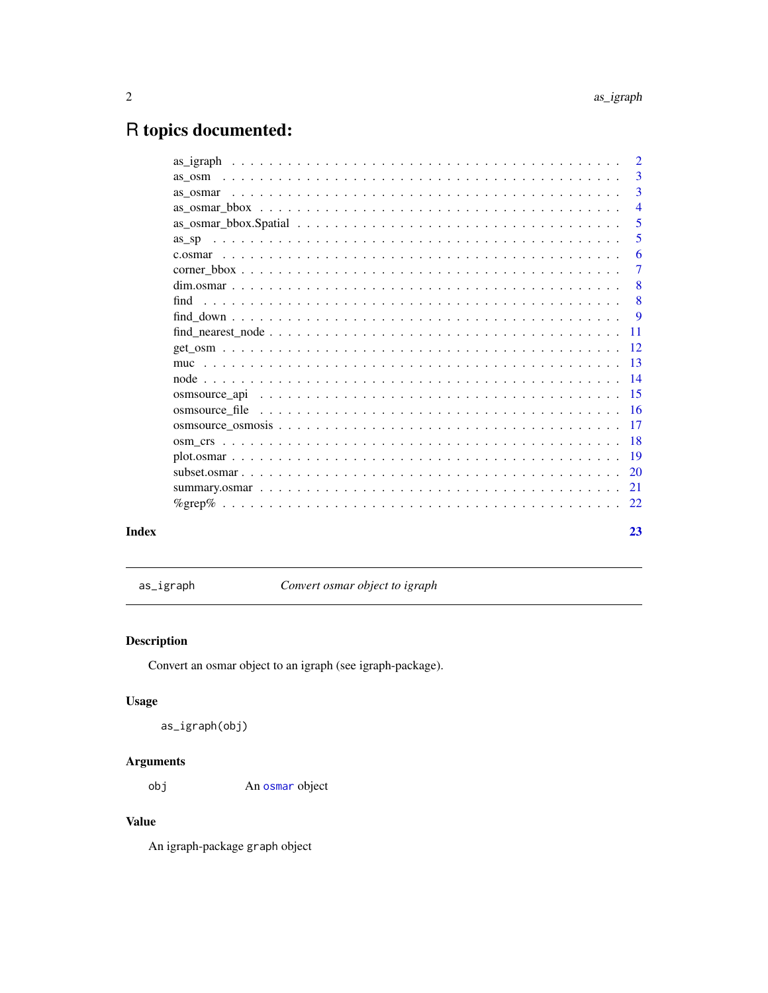## <span id="page-1-0"></span>R topics documented:

|                                                                                                                         | 3<br>$\overline{3}$<br>$\overline{4}$<br>$\overline{\phantom{0}}$ 5 |
|-------------------------------------------------------------------------------------------------------------------------|---------------------------------------------------------------------|
|                                                                                                                         |                                                                     |
|                                                                                                                         |                                                                     |
|                                                                                                                         |                                                                     |
| $\text{as\_osmar\_bbox.}$ Spatial $\ldots \ldots \ldots \ldots \ldots \ldots \ldots \ldots \ldots \ldots \ldots \ldots$ |                                                                     |
| as sp                                                                                                                   | 5                                                                   |
|                                                                                                                         | -6                                                                  |
|                                                                                                                         | -7                                                                  |
|                                                                                                                         | $\sim 8$                                                            |
|                                                                                                                         |                                                                     |
|                                                                                                                         |                                                                     |
|                                                                                                                         |                                                                     |
|                                                                                                                         |                                                                     |
|                                                                                                                         |                                                                     |
|                                                                                                                         |                                                                     |
|                                                                                                                         |                                                                     |
|                                                                                                                         |                                                                     |
|                                                                                                                         |                                                                     |
|                                                                                                                         |                                                                     |
|                                                                                                                         |                                                                     |
|                                                                                                                         |                                                                     |
|                                                                                                                         |                                                                     |
|                                                                                                                         |                                                                     |
| Index                                                                                                                   | 23                                                                  |

as\_igraph *Convert osmar object to igraph*

### Description

Convert an osmar object to an igraph (see igraph-package).

#### Usage

as\_igraph(obj)

#### Arguments

obj An [osmar](#page-2-1) object

#### Value

An igraph-package graph object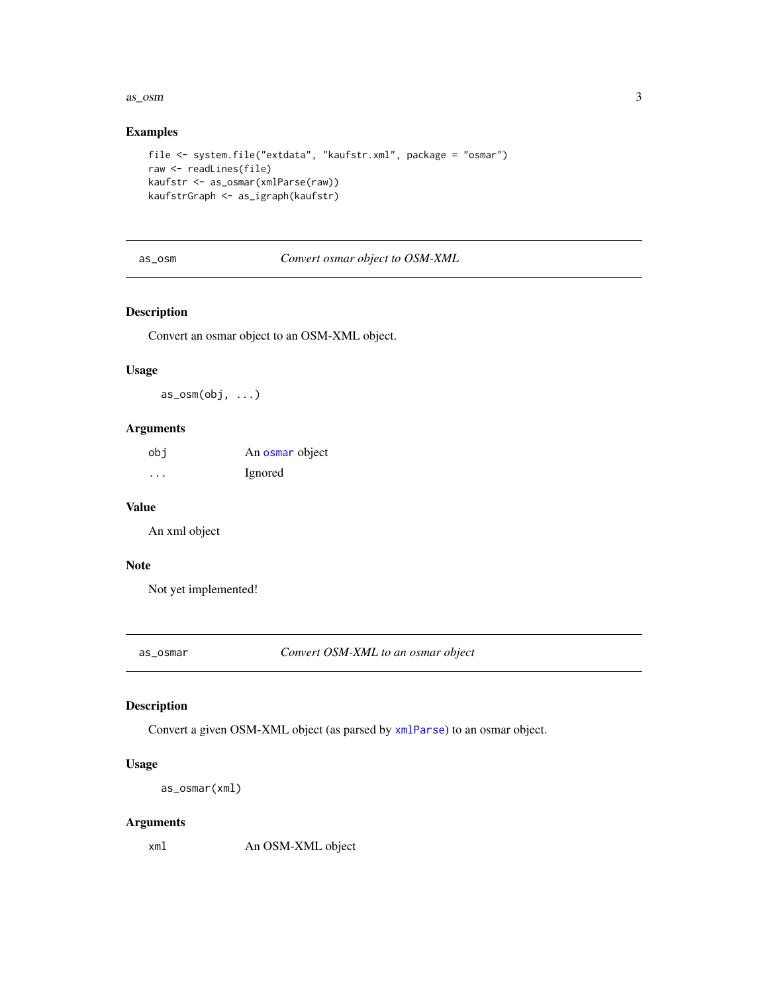#### <span id="page-2-0"></span> $\frac{as\_osm}{3}$

#### Examples

```
file <- system.file("extdata", "kaufstr.xml", package = "osmar")
raw <- readLines(file)
kaufstr <- as_osmar(xmlParse(raw))
kaufstrGraph <- as_igraph(kaufstr)
```
as\_osm *Convert osmar object to OSM-XML*

#### Description

Convert an osmar object to an OSM-XML object.

#### Usage

as\_osm(obj, ...)

#### Arguments

| obi                     | An osmar object |
|-------------------------|-----------------|
| $\cdot$ $\cdot$ $\cdot$ | Ignored         |

#### Value

An xml object

#### Note

Not yet implemented!

as\_osmar *Convert OSM-XML to an osmar object*

#### <span id="page-2-1"></span>Description

Convert a given OSM-XML object (as parsed by [xmlParse](#page-0-0)) to an osmar object.

#### Usage

```
as_osmar(xml)
```
#### Arguments

xml An OSM-XML object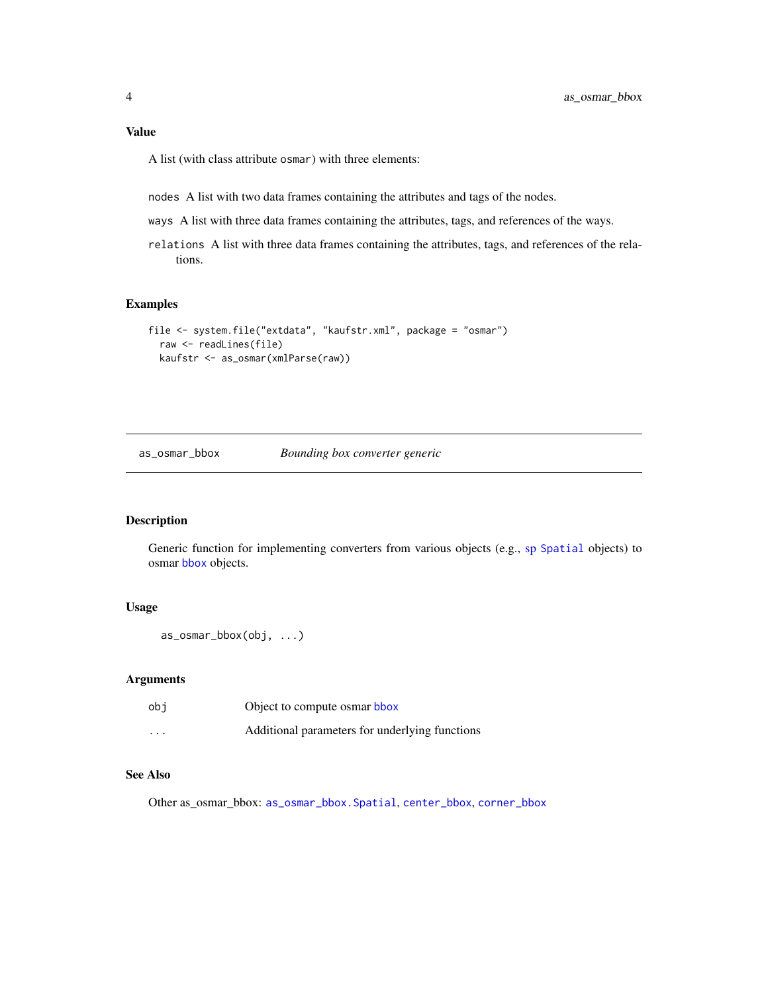#### <span id="page-3-0"></span>Value

A list (with class attribute osmar) with three elements:

nodes A list with two data frames containing the attributes and tags of the nodes.

- ways A list with three data frames containing the attributes, tags, and references of the ways.
- relations A list with three data frames containing the attributes, tags, and references of the relations.

#### Examples

```
file <- system.file("extdata", "kaufstr.xml", package = "osmar")
  raw <- readLines(file)
  kaufstr <- as_osmar(xmlParse(raw))
```
<span id="page-3-1"></span>as\_osmar\_bbox *Bounding box converter generic*

#### Description

Generic function for implementing converters from various objects (e.g., [sp](#page-0-0) [Spatial](#page-0-0) objects) to osmar [bbox](#page-6-1) objects.

#### Usage

```
as_osmar_bbox(obj, ...)
```
#### Arguments

| obi      | Object to compute osmar bbox                   |
|----------|------------------------------------------------|
| $\cdots$ | Additional parameters for underlying functions |

#### See Also

Other as\_osmar\_bbox: [as\\_osmar\\_bbox.Spatial](#page-4-1), [center\\_bbox](#page-6-1), [corner\\_bbox](#page-6-2)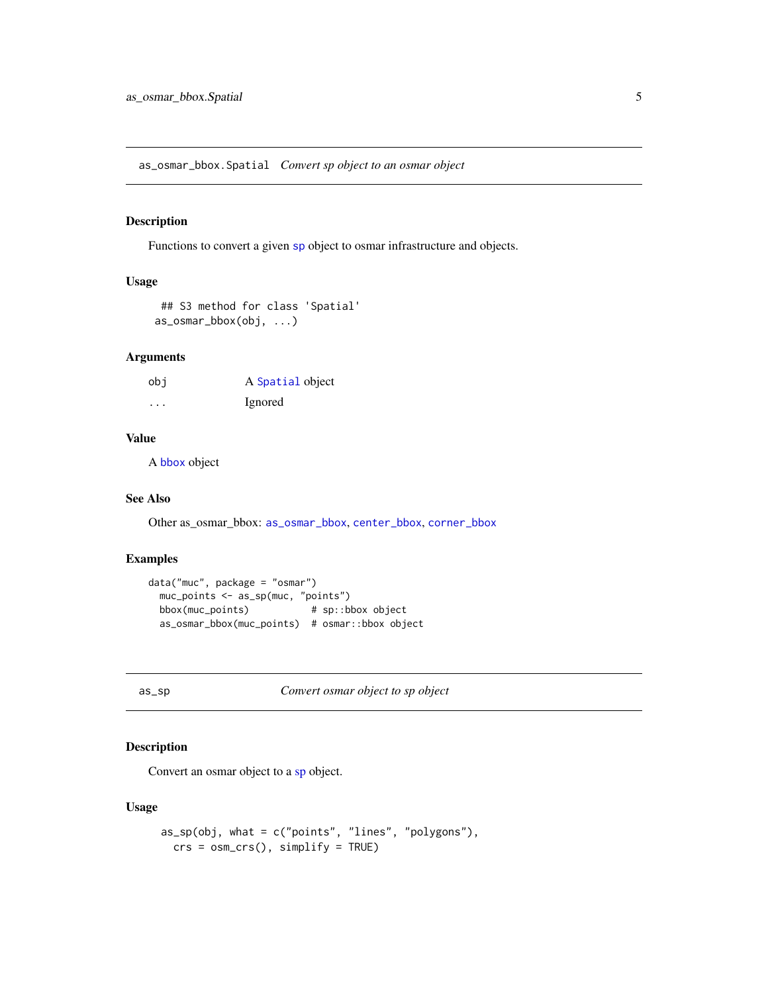<span id="page-4-1"></span><span id="page-4-0"></span>as\_osmar\_bbox.Spatial *Convert sp object to an osmar object*

#### Description

Functions to convert a given [sp](#page-0-0) object to osmar infrastructure and objects.

#### Usage

```
## S3 method for class 'Spatial'
as_osmar_bbox(obj, ...)
```
#### Arguments

| obi     | A Spatial object |
|---------|------------------|
| $\cdot$ | Ignored          |

#### Value

A [bbox](#page-6-1) object

#### See Also

Other as\_osmar\_bbox: [as\\_osmar\\_bbox](#page-3-1), [center\\_bbox](#page-6-1), [corner\\_bbox](#page-6-2)

#### Examples

```
data("muc", package = "osmar")
 muc_points <- as_sp(muc, "points")
 bbox(muc_points) # sp::bbox object
 as_osmar_bbox(muc_points) # osmar::bbox object
```
<span id="page-4-2"></span>as\_sp *Convert osmar object to sp object*

#### Description

Convert an osmar object to a [sp](#page-0-0) object.

#### Usage

```
as_sp(obj, what = c("points", "lines", "polygons"),
 crs = osm_crs(), simplify = TRUE)
```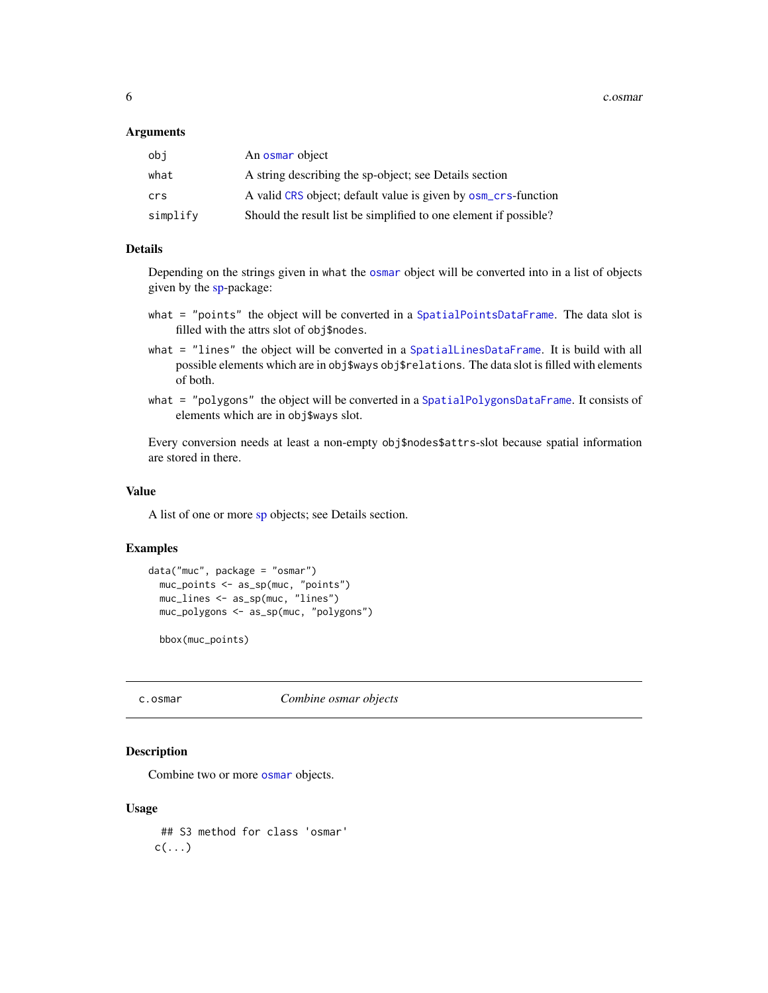<span id="page-5-0"></span>6 c.osmar

#### **Arguments**

| obi      | An osmar object                                                  |
|----------|------------------------------------------------------------------|
| what     | A string describing the sp-object; see Details section           |
| crs      | A valid CRS object; default value is given by osm_crs-function   |
| simplify | Should the result list be simplified to one element if possible? |

#### Details

Depending on the strings given in what the [osmar](#page-2-1) object will be converted into in a list of objects given by the [sp-](#page-0-0)package:

- what = "points" the object will be converted in a [SpatialPointsDataFrame](#page-0-0). The data slot is filled with the attrs slot of obj\$nodes.
- what = "lines" the object will be converted in a [SpatialLinesDataFrame](#page-0-0). It is build with all possible elements which are in obj\$ways obj\$relations. The data slot is filled with elements of both.
- what = "polygons" the object will be converted in a [SpatialPolygonsDataFrame](#page-0-0). It consists of elements which are in obj\$ways slot.

Every conversion needs at least a non-empty obj\$nodes\$attrs-slot because spatial information are stored in there.

#### Value

A list of one or more [sp](#page-0-0) objects; see Details section.

#### Examples

```
data("muc", package = "osmar")
 muc_points <- as_sp(muc, "points")
 muc_lines <- as_sp(muc, "lines")
 muc_polygons <- as_sp(muc, "polygons")
```
bbox(muc\_points)

c.osmar *Combine osmar objects*

#### **Description**

Combine two or more [osmar](#page-2-1) objects.

#### Usage

## S3 method for class 'osmar'  $c(\ldots)$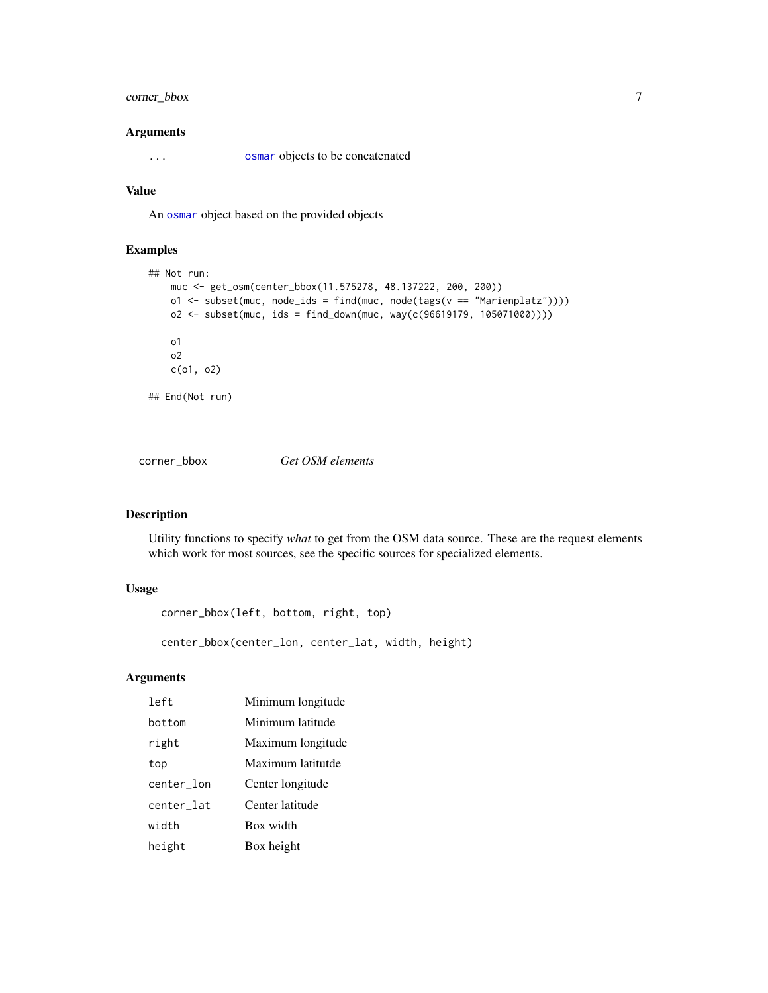#### <span id="page-6-0"></span>corner\_bbox 7

#### Arguments

... [osmar](#page-2-1) objects to be concatenated

#### Value

An [osmar](#page-2-1) object based on the provided objects

#### Examples

```
## Not run:
   muc <- get_osm(center_bbox(11.575278, 48.137222, 200, 200))
   o1 <- subset(muc, node_ids = find(muc, node(tags(v == "Marienplatz"))))
   o2 <- subset(muc, ids = find_down(muc, way(c(96619179, 105071000))))
   o1
   o2
   c(o1, o2)
## End(Not run)
```
<span id="page-6-2"></span>corner\_bbox *Get OSM elements*

#### <span id="page-6-1"></span>Description

Utility functions to specify *what* to get from the OSM data source. These are the request elements which work for most sources, see the specific sources for specialized elements.

#### Usage

```
corner_bbox(left, bottom, right, top)
```
center\_bbox(center\_lon, center\_lat, width, height)

#### Arguments

| left       | Minimum longitude |
|------------|-------------------|
| bottom     | Minimum latitude  |
| right      | Maximum longitude |
| top        | Maximum latitutde |
| center_lon | Center longitude  |
| center_lat | Center latitude   |
| width      | Box width         |
| height     | Box height        |
|            |                   |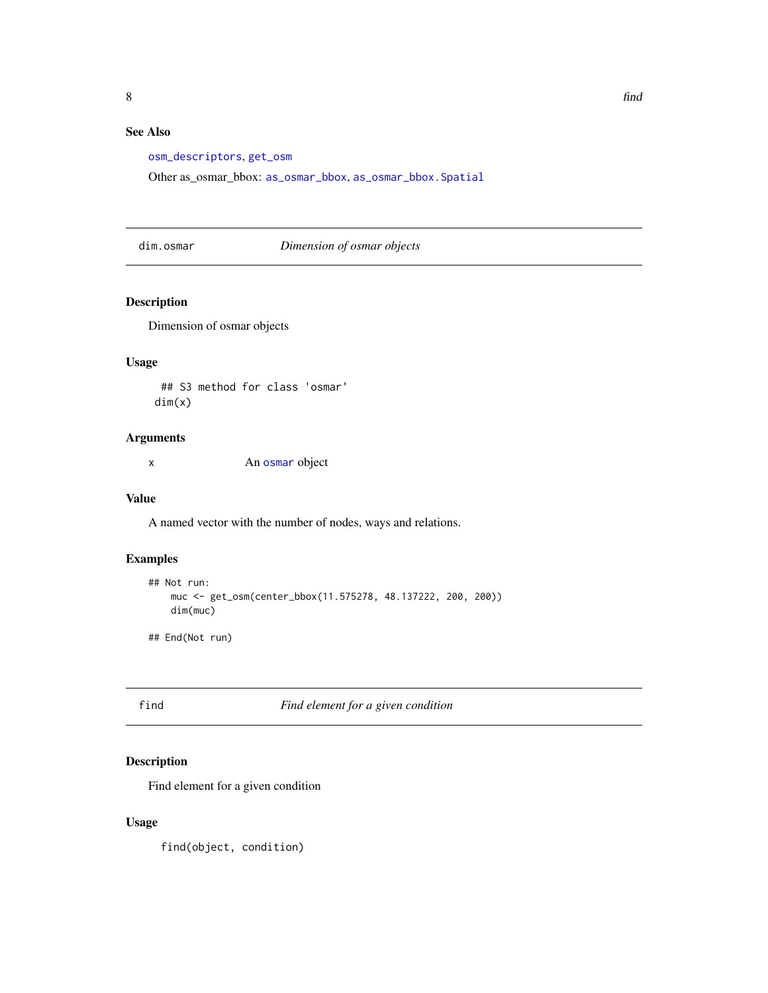#### <span id="page-7-0"></span>See Also

[osm\\_descriptors](#page-13-1), [get\\_osm](#page-11-1)

Other as\_osmar\_bbox: [as\\_osmar\\_bbox](#page-3-1), [as\\_osmar\\_bbox.Spatial](#page-4-1)

dim.osmar *Dimension of osmar objects*

#### Description

Dimension of osmar objects

#### Usage

## S3 method for class 'osmar' dim(x)

#### Arguments

x An [osmar](#page-2-1) object

#### Value

A named vector with the number of nodes, ways and relations.

#### Examples

```
## Not run:
   muc <- get_osm(center_bbox(11.575278, 48.137222, 200, 200))
   dim(muc)
## End(Not run)
```
<span id="page-7-1"></span>find *Find element for a given condition*

#### Description

Find element for a given condition

#### Usage

find(object, condition)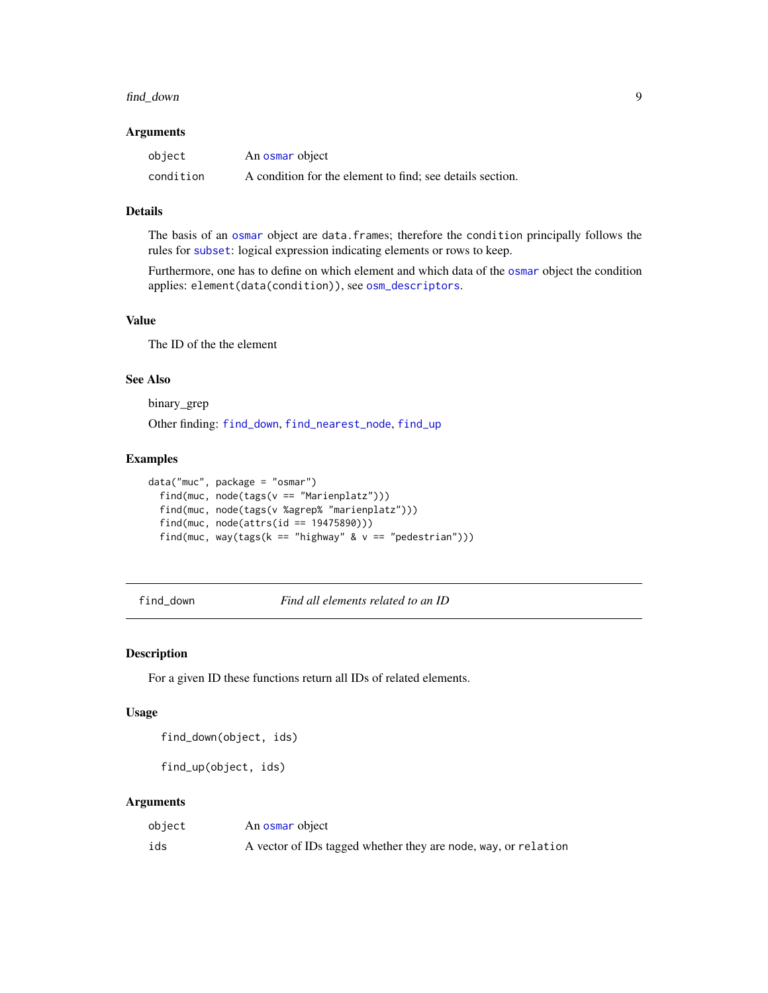#### <span id="page-8-0"></span>find\_down 9

#### Arguments

| object    | An osmar object                                           |
|-----------|-----------------------------------------------------------|
| condition | A condition for the element to find; see details section. |

#### Details

The basis of an [osmar](#page-2-1) object are data.frames; therefore the condition principally follows the rules for [subset](#page-0-0): logical expression indicating elements or rows to keep.

Furthermore, one has to define on which element and which data of the [osmar](#page-2-1) object the condition applies: element(data(condition)), see [osm\\_descriptors](#page-13-1).

#### Value

The ID of the the element

#### See Also

binary\_grep

Other finding: [find\\_down](#page-8-1), [find\\_nearest\\_node](#page-10-1), [find\\_up](#page-8-2)

#### Examples

```
data("muc", package = "osmar")
 find(muc, node(tags(v == "Marienplatz")))
 find(muc, node(tags(v %agrep% "marienplatz")))
 find(muc, node(attrs(id == 19475890)))
 find(muc, way(tags(k == "highway" & v = "pedestrian")))
```
<span id="page-8-1"></span>find\_down *Find all elements related to an ID*

#### <span id="page-8-2"></span>Description

For a given ID these functions return all IDs of related elements.

#### Usage

find\_down(object, ids)

find\_up(object, ids)

#### Arguments

| object | An osmar object                                                |
|--------|----------------------------------------------------------------|
| ids    | A vector of IDs tagged whether they are node, way, or relation |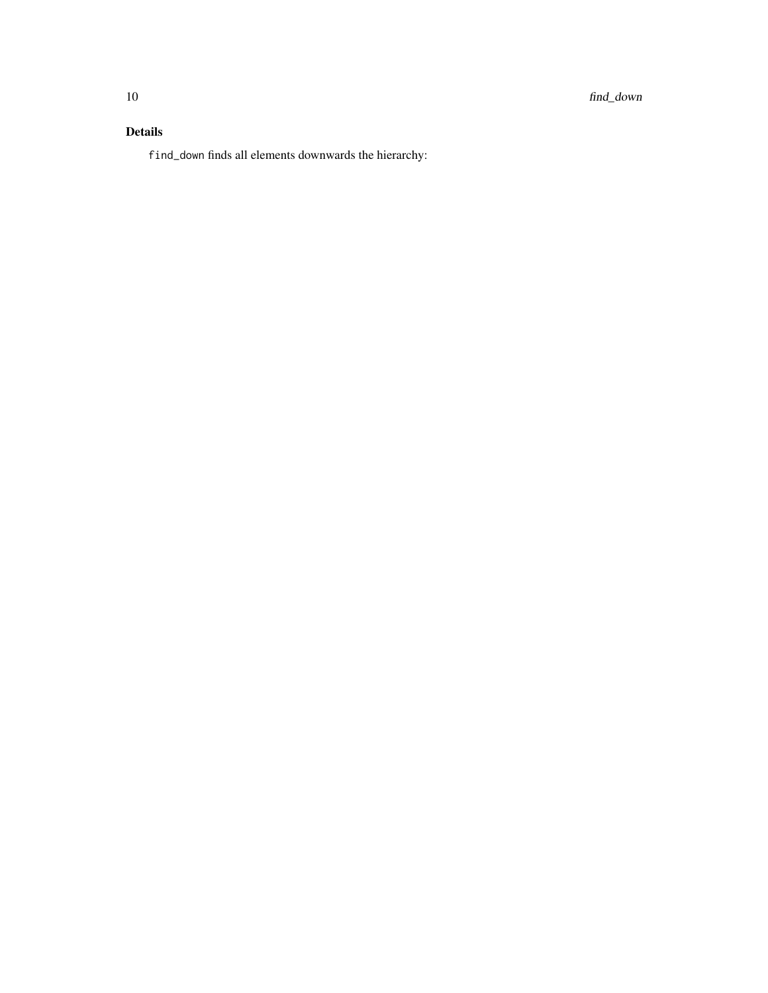#### Details

find\_down finds all elements downwards the hierarchy: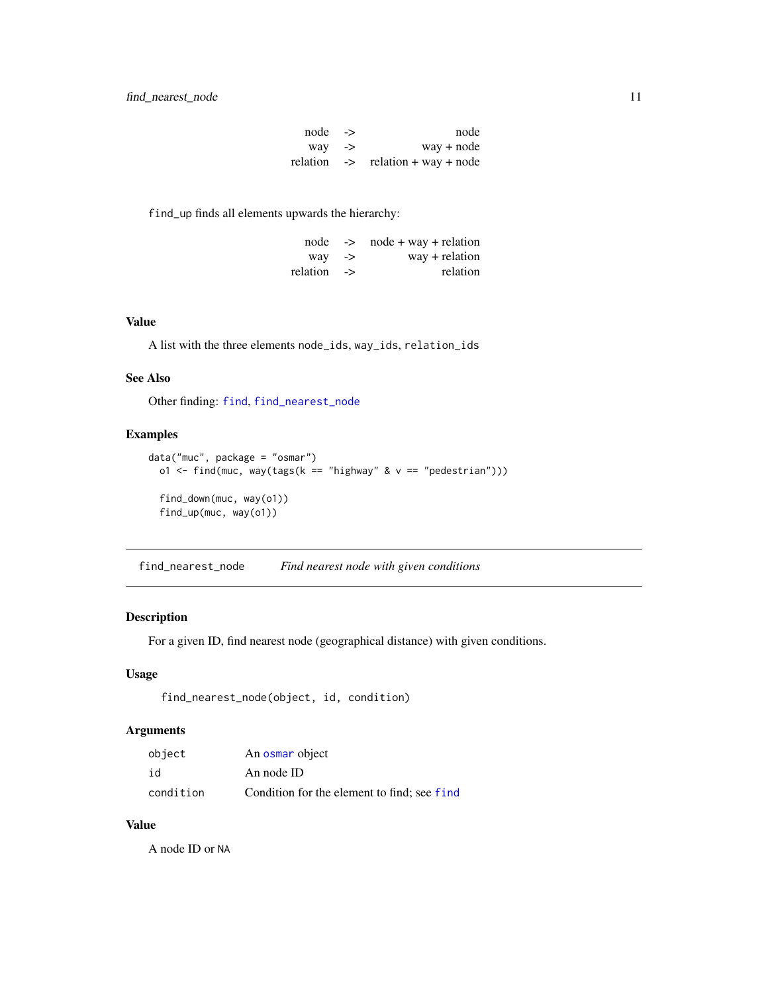| $node \rightarrow$  | node                                         |
|---------------------|----------------------------------------------|
| $\frac{way}{\ }$ -> | $way + node$                                 |
|                     | relation $\rightarrow$ relation + way + node |

<span id="page-10-0"></span>find\_up finds all elements upwards the hierarchy:

|                   | $node \rightarrow node + way + relation$ |
|-------------------|------------------------------------------|
| $way \rightarrow$ | $way + relation$                         |
| relation ->       | relation                                 |

#### Value

A list with the three elements node\_ids, way\_ids, relation\_ids

#### See Also

Other finding: [find](#page-7-1), [find\\_nearest\\_node](#page-10-1)

#### Examples

```
data("muc", package = "osmar")
  o1 <- find(muc, way(tags(k == "highway" & v = "pedestrian")))
  find_down(muc, way(o1))
  find_up(muc, way(o1))
```
<span id="page-10-1"></span>find\_nearest\_node *Find nearest node with given conditions*

#### Description

For a given ID, find nearest node (geographical distance) with given conditions.

#### Usage

```
find_nearest_node(object, id, condition)
```
#### Arguments

| object    | An osmar object                             |
|-----------|---------------------------------------------|
| id        | An node ID                                  |
| condition | Condition for the element to find; see find |

#### Value

A node ID or NA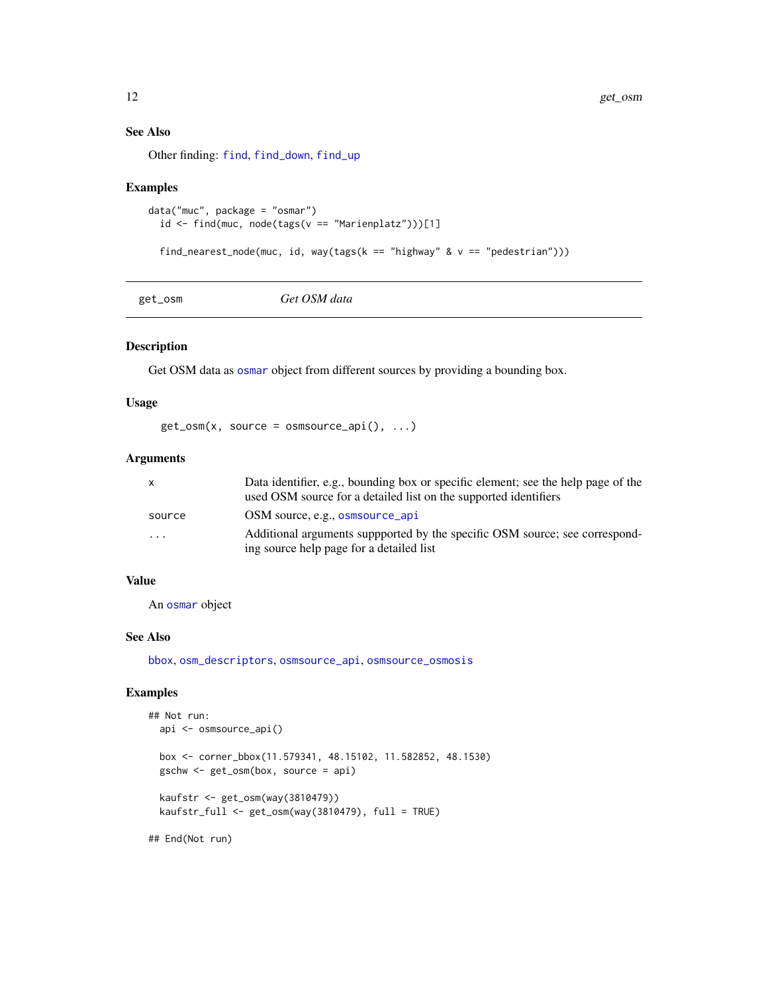#### See Also

Other finding: [find](#page-7-1), [find\\_down](#page-8-1), [find\\_up](#page-8-2)

#### Examples

```
data("muc", package = "osmar")
  id \le find(muc, node(tags(v == "Marienplatz")))[1]
```

```
find_nearest_node(muc, id, way(tags(k == "highway" & v = "pedestrian")))
```
<span id="page-11-1"></span>get\_osm *Get OSM data*

#### Description

Get OSM data as [osmar](#page-2-1) object from different sources by providing a bounding box.

#### Usage

 $get\_osm(x, source = osmsource\_api(), ...)$ 

#### Arguments

| X       | Data identifier, e.g., bounding box or specific element; see the help page of the |
|---------|-----------------------------------------------------------------------------------|
|         | used OSM source for a detailed list on the supported identifiers                  |
| source  | OSM source, e.g., osmsource_api                                                   |
| $\cdot$ | Additional arguments suppported by the specific OSM source; see correspond-       |
|         | ing source help page for a detailed list                                          |

#### Value

An [osmar](#page-2-1) object

#### See Also

[bbox](#page-6-1), [osm\\_descriptors](#page-13-1), [osmsource\\_api](#page-14-1), [osmsource\\_osmosis](#page-16-1)

#### Examples

```
## Not run:
 api <- osmsource_api()
 box <- corner_bbox(11.579341, 48.15102, 11.582852, 48.1530)
 gschw <- get_osm(box, source = api)
 kaufstr <- get_osm(way(3810479))
 kaufstr_full <- get_osm(way(3810479), full = TRUE)
```
## End(Not run)

<span id="page-11-0"></span>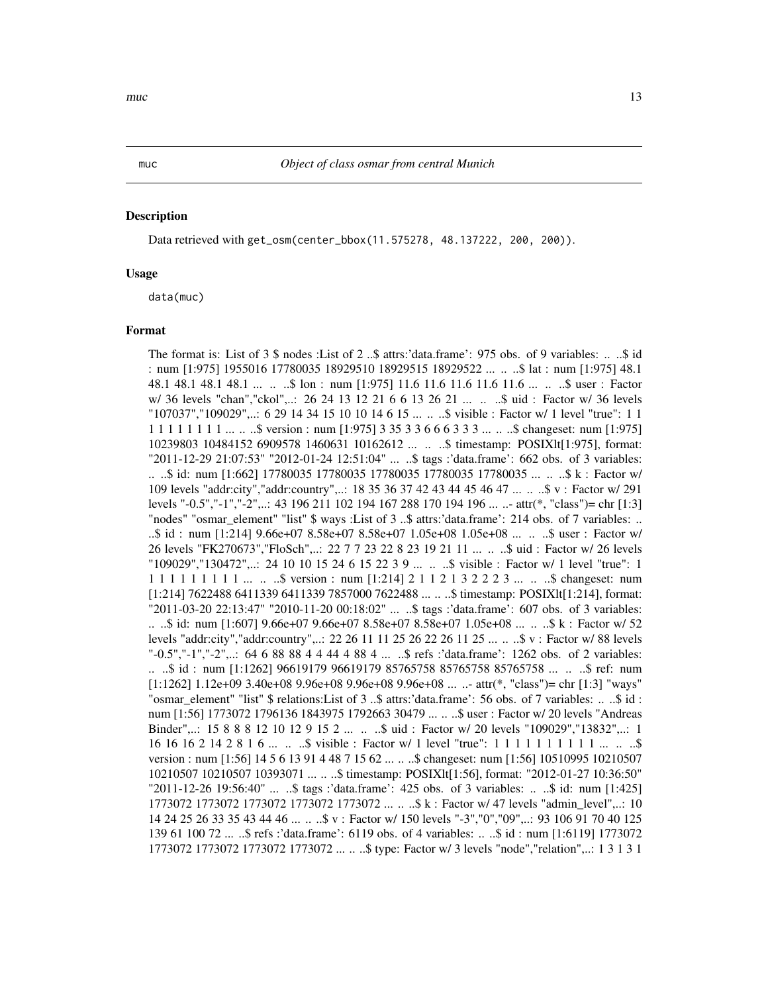#### Description

Data retrieved with get\_osm(center\_bbox(11.575278, 48.137222, 200, 200)).

#### Usage

data(muc)

#### Format

The format is: List of 3 \$ nodes :List of 2 ..\$ attrs:'data.frame': 975 obs. of 9 variables: ...\$ id : num [1:975] 1955016 17780035 18929510 18929515 18929522 ... .. ..\$ lat : num [1:975] 48.1 48.1 48.1 48.1 48.1 ... .. ..\$ lon : num [1:975] 11.6 11.6 11.6 11.6 11.6 ... .. ..\$ user : Factor w/ 36 levels "chan","ckol",..: 26 24 13 12 21 6 6 13 26 21 ... .. ..\$ uid : Factor w/ 36 levels "107037","109029",..: 6 29 14 34 15 10 10 14 6 15 ... .. ..\$ visible : Factor w/ 1 level "true": 1 1 1 1 1 1 1 1 1 1 ... .. ..\$ version : num [1:975] 3 35 3 3 6 6 6 3 3 3 ... .. ..\$ changeset: num [1:975] 10239803 10484152 6909578 1460631 10162612 ... .. ..\$ timestamp: POSIXlt[1:975], format: "2011-12-29 21:07:53" "2012-01-24 12:51:04" ... ..\$ tags :'data.frame': 662 obs. of 3 variables: .. ..\$ id: num [1:662] 17780035 17780035 17780035 17780035 17780035 ... .. ..\$ k : Factor w/ 109 levels "addr:city","addr:country",..: 18 35 36 37 42 43 44 45 46 47 ... .. ..\$ v : Factor w/ 291 levels "-0.5","-1","-2",..: 43 196 211 102 194 167 288 170 194 196 ... ..- attr(\*, "class")= chr [1:3] "nodes" "osmar\_element" "list" \$ ways :List of 3 ..\$ attrs:'data.frame': 214 obs. of 7 variables: .. ..\$ id : num [1:214] 9.66e+07 8.58e+07 8.58e+07 1.05e+08 1.05e+08 ... .. ..\$ user : Factor w/ 26 levels "FK270673","FloSch",..: 22 7 7 23 22 8 23 19 21 11 ... .. ..\$ uid : Factor w/ 26 levels "109029","130472",..: 24 10 10 15 24 6 15 22 3 9 ... .. ..\$ visible : Factor w/ 1 level "true": 1 1 1 1 1 1 1 1 1 1 ... .. ..\$ version : num [1:214] 2 1 1 2 1 3 2 2 2 3 ... .. ..\$ changeset: num [1:214] 7622488 6411339 6411339 7857000 7622488 ... .. ..\$ timestamp: POSIXlt[1:214], format: "2011-03-20 22:13:47" "2010-11-20 00:18:02" ... ..\$ tags :'data.frame': 607 obs. of 3 variables: .. ..\$ id: num [1:607] 9.66e+07 9.66e+07 8.58e+07 8.58e+07 1.05e+08 ... .. ..\$ k : Factor w/ 52 levels "addr:city","addr:country",..: 22 26 11 11 25 26 22 26 11 25 ... .. ..\$ v : Factor w/ 88 levels "-0.5","-1","-2",..: 64 6 88 88 4 4 44 4 88 4 ... ..\$ refs :'data.frame': 1262 obs. of 2 variables: .. ..\$ id : num [1:1262] 96619179 96619179 85765758 85765758 85765758 ... .. ..\$ ref: num  $[1:1262]$  1.12e+09 3.40e+08 9.96e+08 9.96e+08 9.96e+08 ... ...- attr(\*, "class")= chr  $[1:3]$  "ways" "osmar\_element" "list" \$ relations:List of 3 ..\$ attrs:'data.frame': 56 obs. of 7 variables: .. ..\$ id : num [1:56] 1773072 1796136 1843975 1792663 30479 ... .. ..\$ user : Factor w/ 20 levels "Andreas Binder",..: 15 8 8 8 12 10 12 9 15 2 ... .. ..\$ uid : Factor w/ 20 levels "109029","13832",..: 1 16 16 16 2 14 2 8 1 6 ... ... \$ visible : Factor w/ 1 level "true": 1 1 1 1 1 1 1 1 1 1 1 ... ... \$ version : num [1:56] 14 5 6 13 91 4 48 7 15 62 ... .. ..\$ changeset: num [1:56] 10510995 10210507 10210507 10210507 10393071 ... .. ..\$ timestamp: POSIXlt[1:56], format: "2012-01-27 10:36:50" "2011-12-26 19:56:40" ... ..\$ tags :'data.frame': 425 obs. of 3 variables: .. ..\$ id: num [1:425] 1773072 1773072 1773072 1773072 1773072 ... .. ..\$ k : Factor w/ 47 levels "admin\_level",..: 10 14 24 25 26 33 35 43 44 46 ... .. ..\$ v : Factor w/ 150 levels "-3","0","09",..: 93 106 91 70 40 125 139 61 100 72 ... ..\$ refs :'data.frame': 6119 obs. of 4 variables: .. ..\$ id : num [1:6119] 1773072 1773072 1773072 1773072 1773072 ... .. ..\$ type: Factor w/ 3 levels "node","relation",..: 1 3 1 3 1

<span id="page-12-0"></span>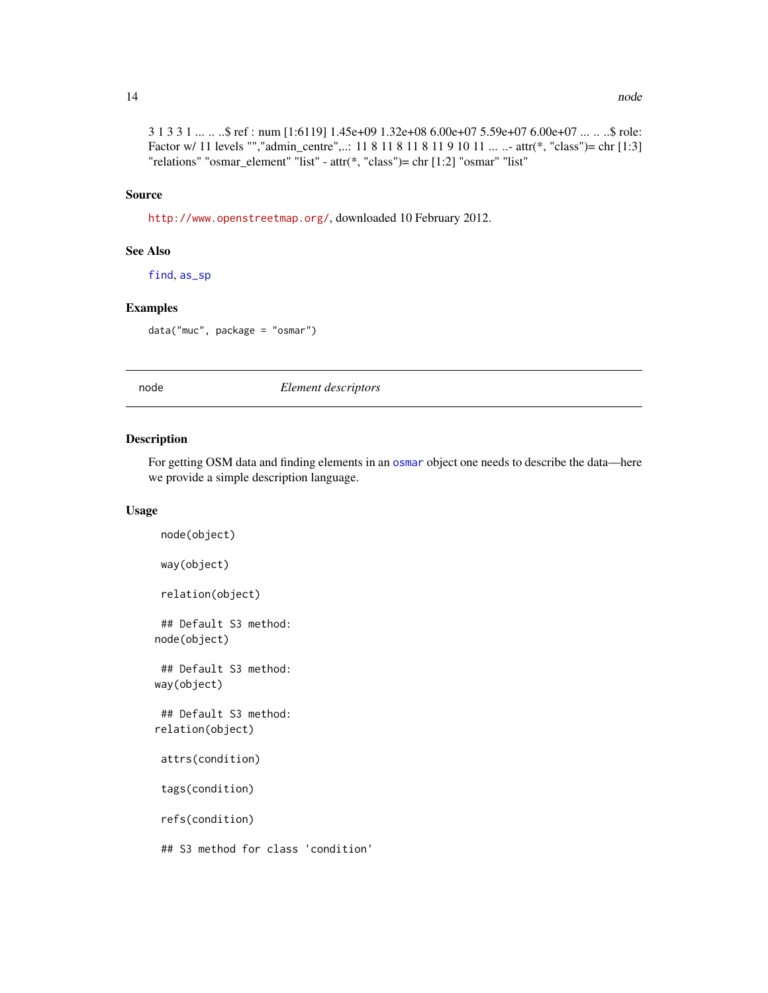#### <span id="page-13-0"></span>Source

<http://www.openstreetmap.org/>, downloaded 10 February 2012.

#### See Also

[find](#page-7-1), [as\\_sp](#page-4-2)

#### Examples

data("muc", package = "osmar")

node *Element descriptors*

#### <span id="page-13-1"></span>Description

For getting OSM data and finding elements in an [osmar](#page-2-1) object one needs to describe the data—here we provide a simple description language.

#### Usage

```
node(object)
way(object)
 relation(object)
 ## Default S3 method:
node(object)
 ## Default S3 method:
way(object)
## Default S3 method:
relation(object)
 attrs(condition)
 tags(condition)
 refs(condition)
 ## S3 method for class 'condition'
```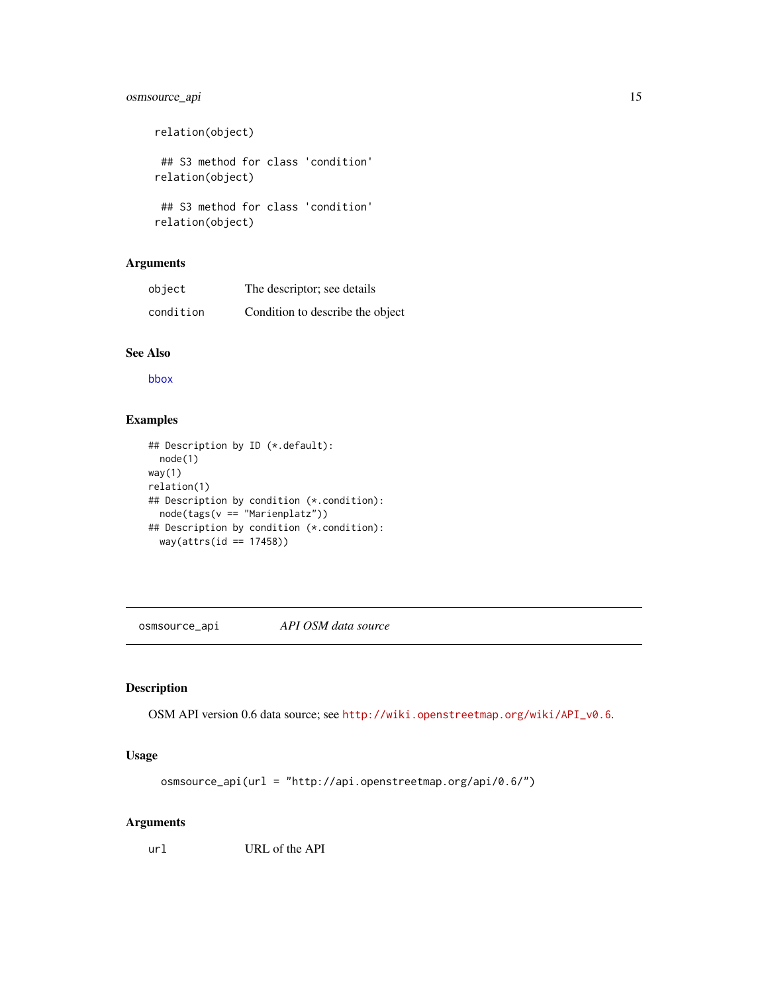#### <span id="page-14-0"></span>osmsource\_api 15

```
relation(object)
 ## S3 method for class 'condition'
relation(object)
 ## S3 method for class 'condition'
relation(object)
```
#### Arguments

| object    | The descriptor; see details      |
|-----------|----------------------------------|
| condition | Condition to describe the object |

#### See Also

[bbox](#page-6-1)

#### Examples

```
## Description by ID (*.default):
  node(1)
way(1)
relation(1)
## Description by condition (*.condition):
 node(tags(v == "Marienplatz"))
## Description by condition (*.condition):
  way(attrs(id == 17458))
```
<span id="page-14-1"></span>osmsource\_api *API OSM data source*

#### Description

OSM API version 0.6 data source; see [http://wiki.openstreetmap.org/wiki/API\\_v0.6](http://wiki.openstreetmap.org/wiki/API_v0.6).

#### Usage

```
osmsource_api(url = "http://api.openstreetmap.org/api/0.6/")
```
#### Arguments

url URL of the API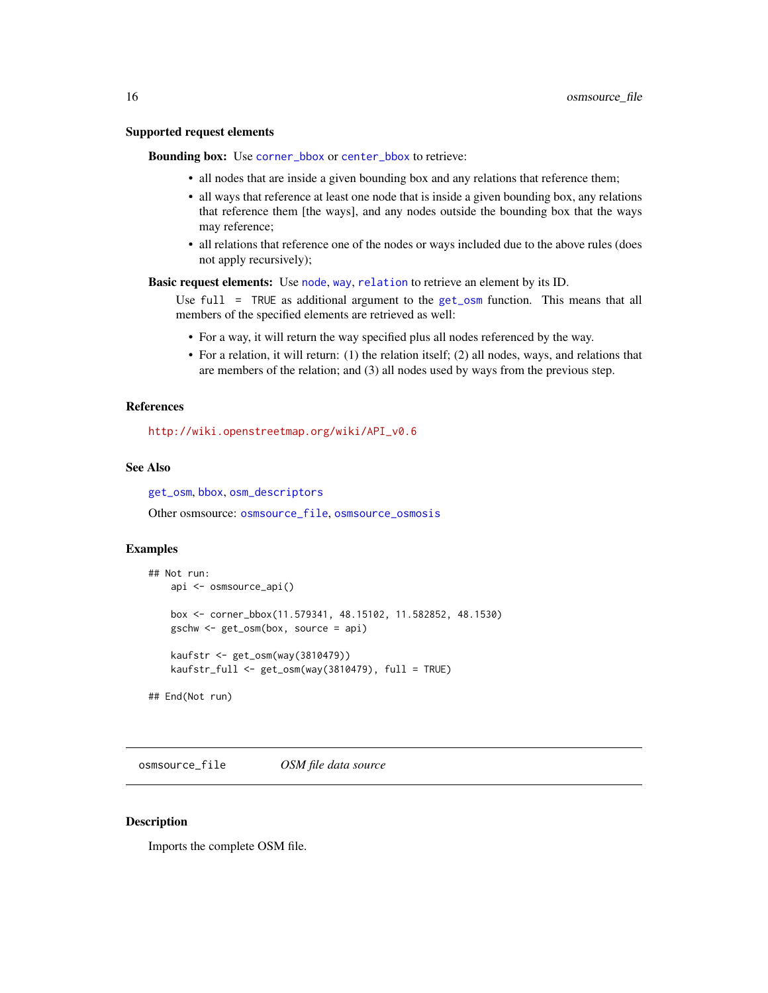#### <span id="page-15-0"></span>Supported request elements

Bounding box: Use [corner\\_bbox](#page-6-2) or [center\\_bbox](#page-6-1) to retrieve:

- all nodes that are inside a given bounding box and any relations that reference them;
- all ways that reference at least one node that is inside a given bounding box, any relations that reference them [the ways], and any nodes outside the bounding box that the ways may reference;
- all relations that reference one of the nodes or ways included due to the above rules (does not apply recursively);

Basic request elements: Use [node](#page-13-1), [way](#page-13-1), [relation](#page-13-1) to retrieve an element by its ID.

Use full = TRUE as additional argument to the [get\\_osm](#page-11-1) function. This means that all members of the specified elements are retrieved as well:

- For a way, it will return the way specified plus all nodes referenced by the way.
- For a relation, it will return: (1) the relation itself; (2) all nodes, ways, and relations that are members of the relation; and (3) all nodes used by ways from the previous step.

#### References

[http://wiki.openstreetmap.org/wiki/API\\_v0.6](http://wiki.openstreetmap.org/wiki/API_v0.6)

#### See Also

[get\\_osm](#page-11-1), [bbox](#page-6-1), [osm\\_descriptors](#page-13-1)

Other osmsource: [osmsource\\_file](#page-15-1), [osmsource\\_osmosis](#page-16-1)

#### Examples

```
## Not run:
    api <- osmsource_api()
   box <- corner_bbox(11.579341, 48.15102, 11.582852, 48.1530)
    gschw <- get_osm(box, source = api)
    kaufstr <- get_osm(way(3810479))
   kaufstr_full <- get_osm(way(3810479), full = TRUE)
## End(Not run)
```
<span id="page-15-1"></span>osmsource\_file *OSM file data source*

#### Description

Imports the complete OSM file.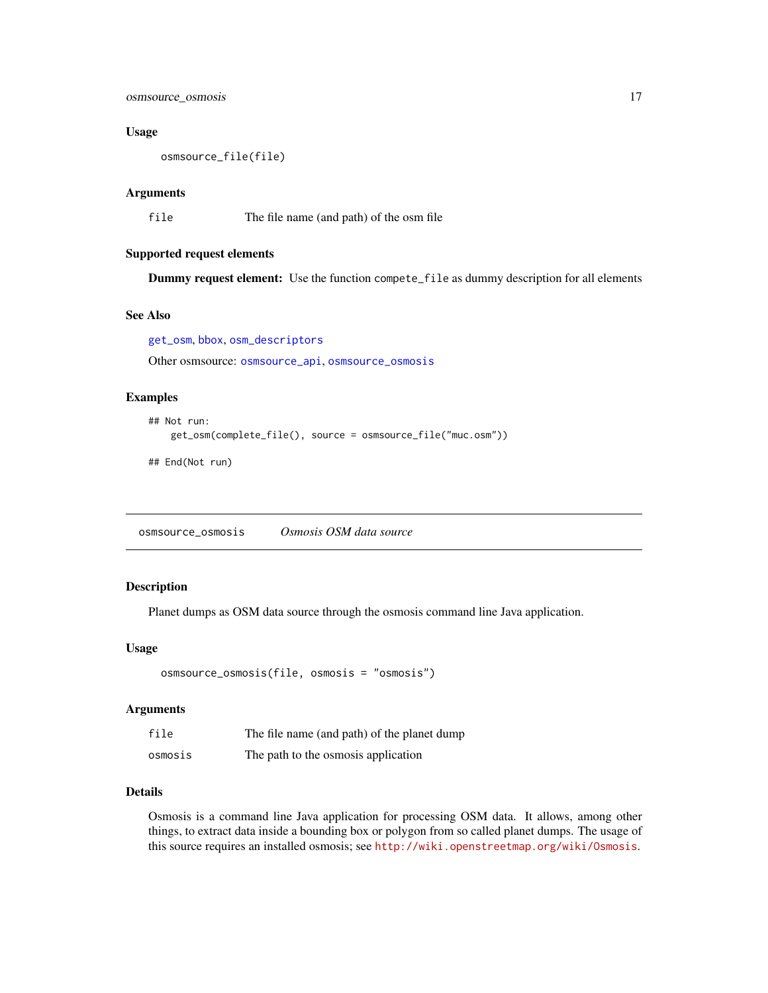<span id="page-16-0"></span>osmsource\_osmosis 17

#### Usage

osmsource\_file(file)

#### Arguments

file The file name (and path) of the osm file

#### Supported request elements

Dummy request element: Use the function compete\_file as dummy description for all elements

#### See Also

[get\\_osm](#page-11-1), [bbox](#page-6-1), [osm\\_descriptors](#page-13-1) Other osmsource: [osmsource\\_api](#page-14-1), [osmsource\\_osmosis](#page-16-1)

#### Examples

```
## Not run:
   get_osm(complete_file(), source = osmsource_file("muc.osm"))
```
## End(Not run)

<span id="page-16-1"></span>osmsource\_osmosis *Osmosis OSM data source*

#### Description

Planet dumps as OSM data source through the osmosis command line Java application.

#### Usage

```
osmsource_osmosis(file, osmosis = "osmosis")
```
#### Arguments

| file    | The file name (and path) of the planet dump |
|---------|---------------------------------------------|
| osmosis | The path to the osmosis application         |

#### Details

Osmosis is a command line Java application for processing OSM data. It allows, among other things, to extract data inside a bounding box or polygon from so called planet dumps. The usage of this source requires an installed osmosis; see <http://wiki.openstreetmap.org/wiki/Osmosis>.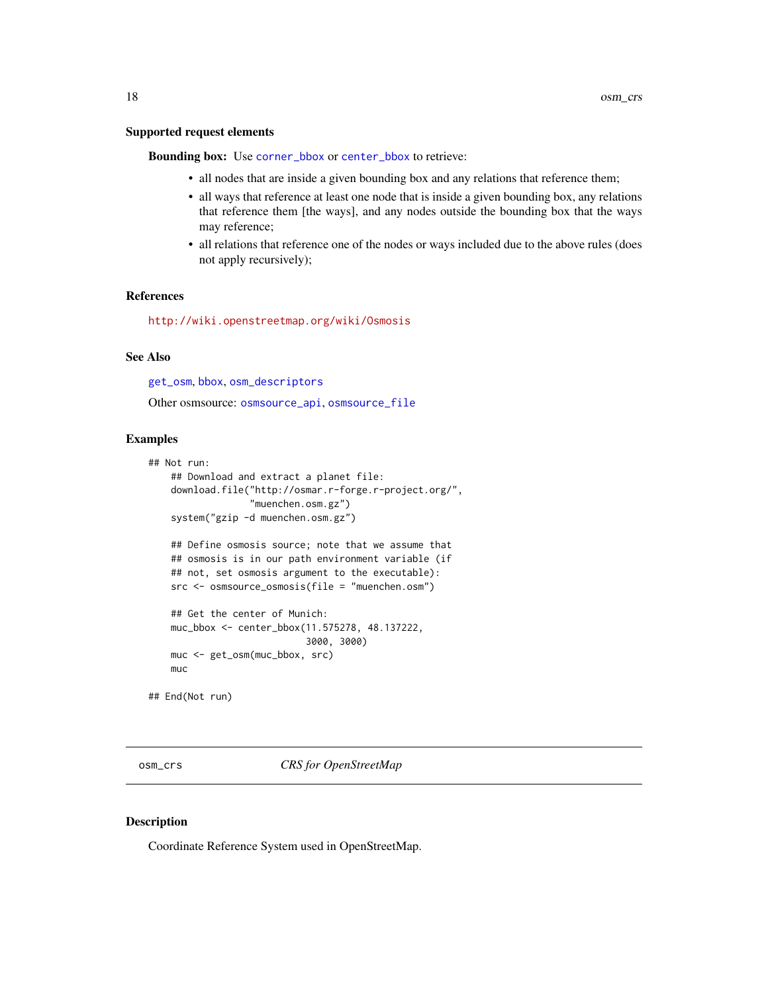#### <span id="page-17-0"></span>Supported request elements

Bounding box: Use [corner\\_bbox](#page-6-2) or [center\\_bbox](#page-6-1) to retrieve:

- all nodes that are inside a given bounding box and any relations that reference them;
- all ways that reference at least one node that is inside a given bounding box, any relations that reference them [the ways], and any nodes outside the bounding box that the ways may reference;
- all relations that reference one of the nodes or ways included due to the above rules (does not apply recursively);

#### References

<http://wiki.openstreetmap.org/wiki/Osmosis>

#### See Also

[get\\_osm](#page-11-1), [bbox](#page-6-1), [osm\\_descriptors](#page-13-1)

Other osmsource: [osmsource\\_api](#page-14-1), [osmsource\\_file](#page-15-1)

#### Examples

```
## Not run:
   ## Download and extract a planet file:
   download.file("http://osmar.r-forge.r-project.org/",
                  "muenchen.osm.gz")
   system("gzip -d muenchen.osm.gz")
   ## Define osmosis source; note that we assume that
   ## osmosis is in our path environment variable (if
   ## not, set osmosis argument to the executable):
   src <- osmsource_osmosis(file = "muenchen.osm")
   ## Get the center of Munich:
   muc_bbox <- center_bbox(11.575278, 48.137222,
                            3000, 3000)
   muc <- get_osm(muc_bbox, src)
   muc
```
## End(Not run)

<span id="page-17-1"></span>osm\_crs *CRS for OpenStreetMap*

#### Description

Coordinate Reference System used in OpenStreetMap.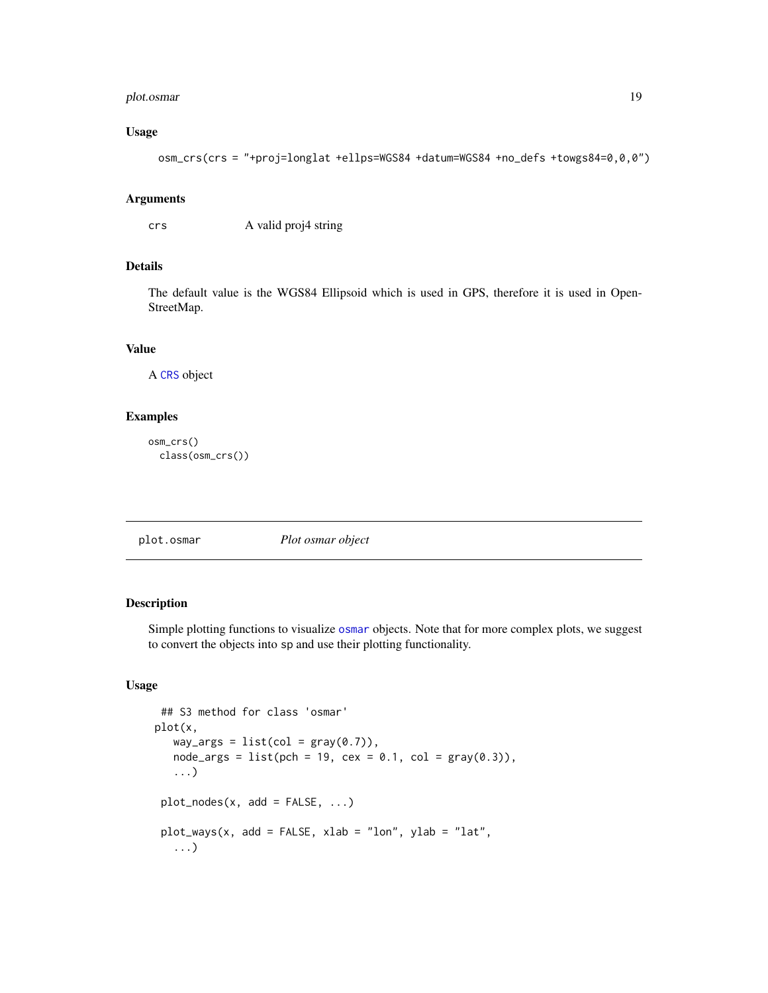#### <span id="page-18-0"></span>plot.osmar 19

#### Usage

```
osm_crs(crs = "+proj=longlat +ellps=WGS84 +datum=WGS84 +no_defs +towgs84=0,0,0")
```
#### Arguments

crs A valid proj4 string

#### Details

The default value is the WGS84 Ellipsoid which is used in GPS, therefore it is used in Open-StreetMap.

#### Value

A [CRS](#page-0-0) object

#### Examples

osm\_crs() class(osm\_crs())

plot.osmar *Plot osmar object*

#### Description

Simple plotting functions to visualize [osmar](#page-2-1) objects. Note that for more complex plots, we suggest to convert the objects into sp and use their plotting functionality.

#### Usage

```
## S3 method for class 'osmar'
plot(x,
   way_{args} = list(col = gray(0.7)),node_{args} = list(pch = 19, cex = 0.1, col = gray(0.3)),...)
plot\_nodes(x, add = FALSE, ...)plot_ways(x, add = FALSE, xlab = "lon", ylab = "lat",
   ...)
```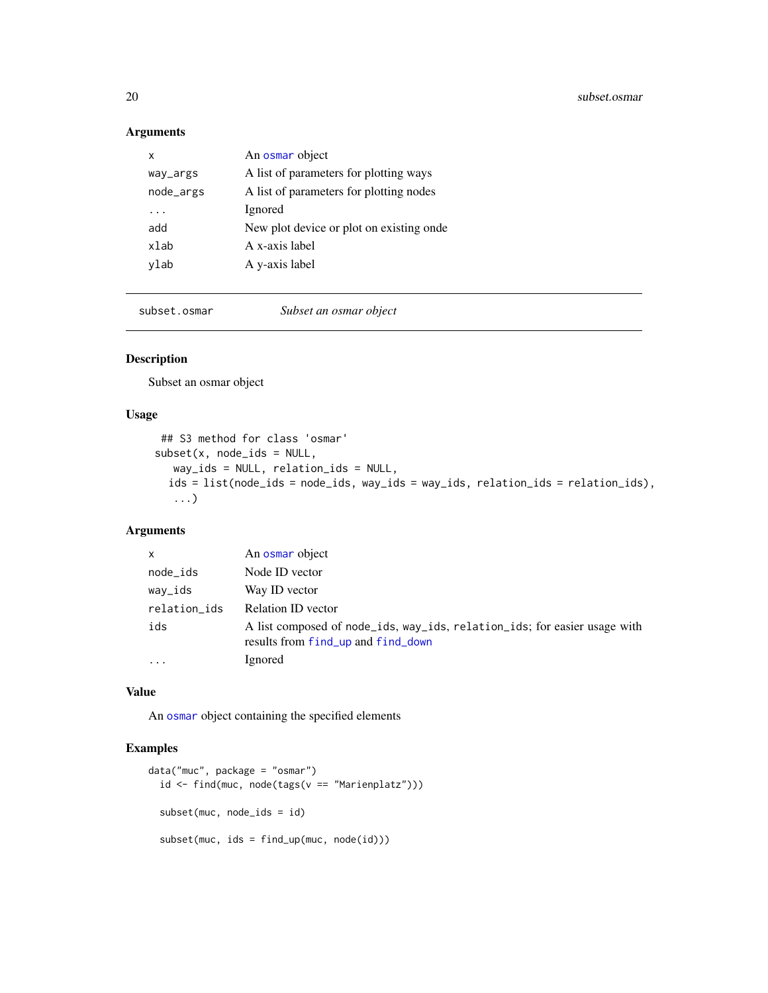#### Arguments

| x         | An osmar object                          |
|-----------|------------------------------------------|
| way_args  | A list of parameters for plotting ways   |
| node_args | A list of parameters for plotting nodes  |
|           | Ignored                                  |
| add       | New plot device or plot on existing onde |
| xlab      | A x-axis label                           |
| vlab      | A y-axis label                           |
|           |                                          |

subset.osmar *Subset an osmar object*

#### Description

Subset an osmar object

#### Usage

```
## S3 method for class 'osmar'
subset(x, node\_ids = NULL,way_ids = NULL, relation_ids = NULL,
  ids = list(node_ids = node_ids, way_ids = way_ids, relation_ids = relation_ids),
  ...)
```
#### Arguments

| $\mathsf{x}$            | An osmar object                                                                                                 |
|-------------------------|-----------------------------------------------------------------------------------------------------------------|
| node_ids                | Node ID vector                                                                                                  |
| way_ids                 | Way ID vector                                                                                                   |
| relation_ids            | Relation ID vector                                                                                              |
| ids                     | A list composed of node_ids, way_ids, relation_ids; for easier usage with<br>results from find_up and find_down |
| $\cdot$ $\cdot$ $\cdot$ | Ignored                                                                                                         |

#### Value

An [osmar](#page-2-1) object containing the specified elements

#### Examples

```
data("muc", package = "osmar")
  id <- find(muc, node(tags(v == "Marienplatz")))
  subset(muc, node_ids = id)
  subset(muc, ids = find_up(muc, node(id)))
```
<span id="page-19-0"></span>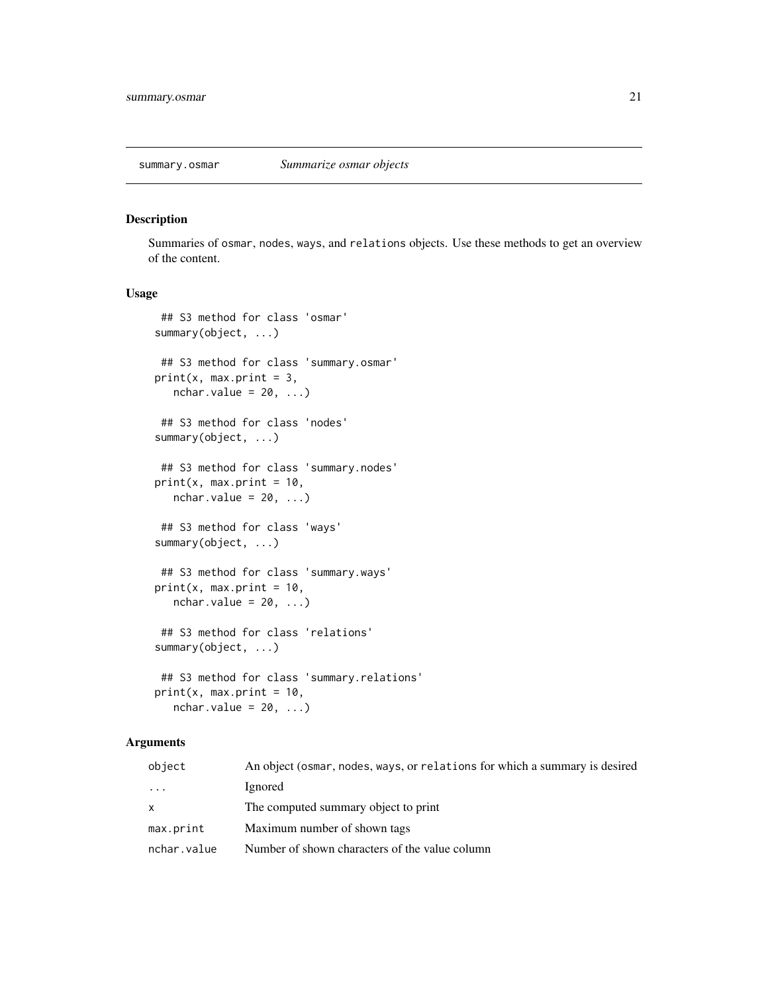<span id="page-20-0"></span>

#### Description

Summaries of osmar, nodes, ways, and relations objects. Use these methods to get an overview of the content.

#### Usage

```
## S3 method for class 'osmar'
summary(object, ...)
 ## S3 method for class 'summary.osmar'
print(x, max.print = 3,nchar.value = 20, ...)
## S3 method for class 'nodes'
summary(object, ...)
## S3 method for class 'summary.nodes'
print(x, max.print = 10,nchar.value = 20, ...)## S3 method for class 'ways'
summary(object, ...)
## S3 method for class 'summary.ways'
print(x, max.print = 10,nchar.value = 20, ...)
## S3 method for class 'relations'
summary(object, ...)
 ## S3 method for class 'summary.relations'
print(x, max.print = 10,nchar.value = 20, ...
```
#### Arguments

| object       | An object (osmar, nodes, ways, or relations for which a summary is desired |
|--------------|----------------------------------------------------------------------------|
| $\cdots$     | Ignored                                                                    |
| $\mathsf{x}$ | The computed summary object to print                                       |
| max.print    | Maximum number of shown tags                                               |
| nchar.value  | Number of shown characters of the value column                             |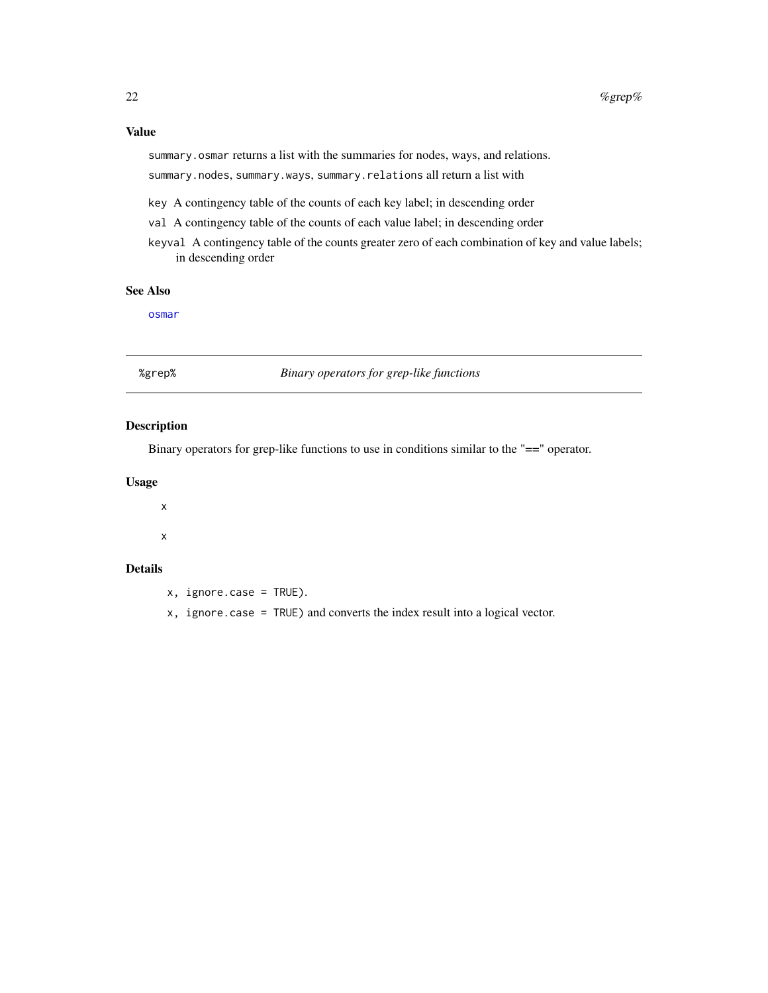#### <span id="page-21-0"></span>Value

summary.osmar returns a list with the summaries for nodes, ways, and relations.

summary.nodes, summary.ways, summary.relations all return a list with

- key A contingency table of the counts of each key label; in descending order
- val A contingency table of the counts of each value label; in descending order
- keyval A contingency table of the counts greater zero of each combination of key and value labels; in descending order

#### See Also

[osmar](#page-2-1)

%grep% *Binary operators for grep-like functions*

#### Description

Binary operators for grep-like functions to use in conditions similar to the "==" operator.

#### Usage

x

x

#### Details

- x, ignore.case = TRUE).
- x, ignore.case = TRUE) and converts the index result into a logical vector.